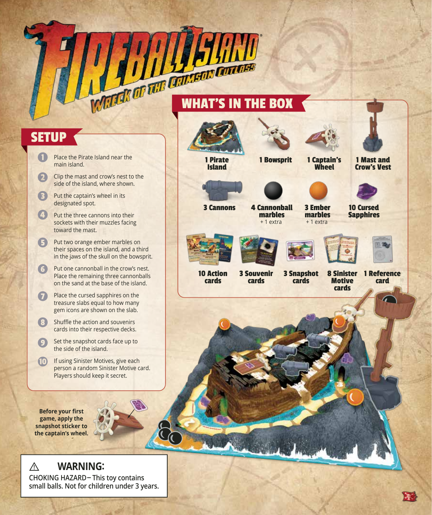# WHAT'S IN THE BOX

# **SETUP**

- Place the Pirate Island near the main island.
- $\boldsymbol{\Omega}$ Clip the mast and crow's nest to the side of the island, where shown.
- B Put the captain's wheel in its designated spot.
- Put the three cannons into their sockets with their muzzles facing toward the mast.
- 6 Put two orange ember marbles on their spaces on the island, and a third in the jaws of the skull on the bowsprit.
- 6 Put one cannonball in the crow's nest. Place the remaining three cannonballs on the sand at the base of the island.
- Place the cursed sapphires on the  $\overline{\mathbf{C}}$ treasure slabs equal to how many gem icons are shown on the slab.
- B Shuffle the action and souvenirs cards into their respective decks.
- $\circ$ Set the snapshot cards face up to the side of the island.
- $\mathbf{D}$ If using Sinister Motives, give each person a random Sinister Motive card. Players should keep it secret.

**Before your first game, apply the snapshot sticker to the captain's wheel.**



#### **WARNING: CHOKING HAZARD-This toy contains small balls. Not for children under 3 years. !**